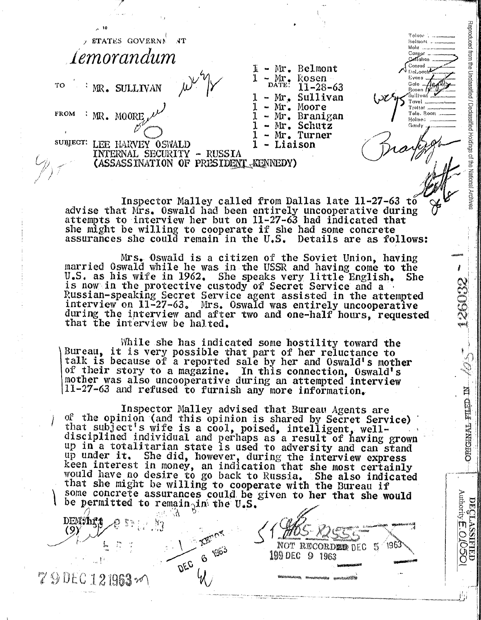| , 10                                                                           |                                                                                                                         |                                                         |
|--------------------------------------------------------------------------------|-------------------------------------------------------------------------------------------------------------------------|---------------------------------------------------------|
| <b>STATES GOVERNE</b><br>$\sqrt{1}$                                            |                                                                                                                         | Tolson<br>Mohr                                          |
| Lemorandum                                                                     |                                                                                                                         | Caspor<br>Cellahan                                      |
| TO<br>WR. SULLIVAN                                                             | Belmont<br>$Mr_{\bullet}$<br>$\mathcal{L}$ Mr.<br>Rosen<br>$11 - 28 - 63$<br>Sullivan<br>$-$ Mr.                        | Conrad<br>∍eLoαch<br>Eyans.<br>Gale …<br>Rosen <i>U</i> |
| <b>FROM</b><br>MR. MOORE                                                       | $Mr_{\bullet}$<br>Moore<br>tas<br>Mr. Branigan<br>$\bullet$<br>Schutz<br>$Mr_{\bullet}$<br>dia.<br>Mr. Turner<br>$\sim$ | l'avel<br>Trottor<br>Tele, Room<br>Holmes<br>Gandy      |
| SUBJECT:<br><b>OSWALD</b><br>LEE HARVEY<br>RUSSIA<br>SECURITY<br>'ERNAL<br>en. | Liaison                                                                                                                 |                                                         |
| (ASSASSINATION OF PRESIDENT KENNEDY)                                           |                                                                                                                         |                                                         |
|                                                                                |                                                                                                                         |                                                         |
|                                                                                |                                                                                                                         |                                                         |

Reproduced from the Unclassified / Declassified Holdings of the National Archives

CONSTRU

**ORIGINAL SILED IN** 

DECLASSIFIED<br>Authority **E**: O.**O.O.O** 

Inspector Malley called from Dallas late 11-27-63 to advise that Mrs. Oswald had been entirely uncooperative during<br>attempts to interview her but on 11-27-63 had indicated that she might be willing to cooperate if she had some concrete assurances she could remain in the U.S. Details are as follows:

Mrs. Oswald is a citizen of the Soviet Union, having married Oswald while he was in the USSR and having come to the U.S. as his wife in 1962. She speaks very little English. is now in the protective custody of Secret Service and a She Russian-speaking Secret Service agent assisted in the attempted interview on 11-27-63. Mrs. Oswald was entirely uncooperative during the interview and after two and one-half hours, requested that the interview be halted.

While she has indicated some hostility toward the Bureau, it is very possible that part of her reluctance to talk is because of a reported sale by her and Oswald's mother of their story to a magazine. In this connection, Oswald's mother was also uncooperative during an attempted interview 11-27-63 and refused to furnish any more information.

Inspector Malley advised that Bureau Agents are of the opinion (and this opinion is shared by Secret Service) that subject's wife is a cool, poised, intelligent, welldisciplined individual and perhaps as a result of having grown up in a totalitarian state is used to adversity and can stand up under it. She did, however, during the interview express<br>keen interest in money, an indication that she most certainly<br>would have no desire to go back to Russia. She also indicated that she might be willing to cooperate with the Bureau if some concrete assurances could be given to her that she would be permitted to remain<sub>ain</sub> the U.S.

NOT RECORDEE DEC 5

1963

 $\Omega$ 

199 DEC

196

an A

DEC

ैंदु

**DEM:/hf.t** 

79DEC121963~

 $(9)$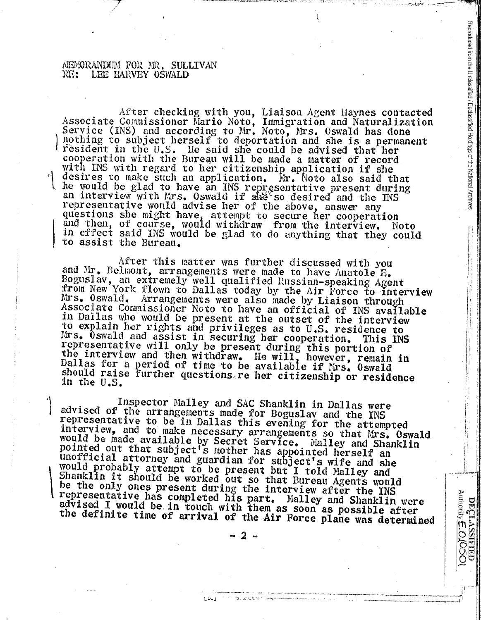## trIEMORANDUM FOR MR. SULLIVAN RE: LEE HARVEY OSWALD

 $\mathbf{I}$ 

Associate After checking with you, Liaison Agent Haynes contacted<br>Associate Commissioner Mario Noto, Immigration and Naturalization<br>Service (INS) and according to Mr. Noto, Mrs. Oswald has done cooperation with the Bureau will be made a matter of record<br>with INS with regard to her citizenship application if she<br>desires to make such an application. Mr. Noto also said that<br>he would be glad to have an INS representa

! <sup>I</sup><sup>I</sup>

Reproduced from the Unclassified / Declassified Holdings of the National Archives

i.

DECLASSIFIED<br>Authority **E. O. O. SOO** 

.......... ,~(

-~-

.. -~•---·•--~\_,.) I

After this matter was further discussed with you and Mr. Belmont, arrangements were made to have Anatole R. and Mr. Belmont, arrangements were made to have Anatole E.<br>Boguslav, an extremely well qualified Russian-speaking Agent Mrs. Oswald. Arrangements were also made by Liaison through from New York flown to Dallas today by the Air Force to interview Associate Commissioner Noto to have an official of INS available in Dallas who would be present at the outset of the interview Mrs. Uswald and assist in securing her cooperation. This INS to explain her rights and privileges as to U.S. residence to representative will only be present during this portion of the interview and then withdraw. He will, however, remain in Dallas the interview and then withdraw. He will, however, remain in formulas for a period of time to be available if Mrs. Oswald. should raise further questions, re her citizenship or residence in the U.S.

Inspector Malley and SAC Shanklin in Dallas were advised of the arrangements made for Boguslav and the INS representative to be in Dallas this evening for the attempted interview, and to make necessary arrangements so that would interview, and to make necessary arrangements so that Mrs. Oswald<br>would be made available by Secret Service. Malley and Shanklin<br>pointed out that subject's mother has appointed herself an<br>unofficial attorney and guardian f unofficial attorney and guardian for subject's wife and she<br>would probably attempt to be present but I told Malley and<br>Shanklin it should be worked out so that Bureau Agents would<br>be the only ones present during the interv

..... , ...... -..................................... ~~---•·•··..,..•····~~-, .......... -. -·· ---~ ...... -------

 $-$  ...,  $-$  ...,  $-$  ...,  $-$ 

 $1 - 13 - 1$